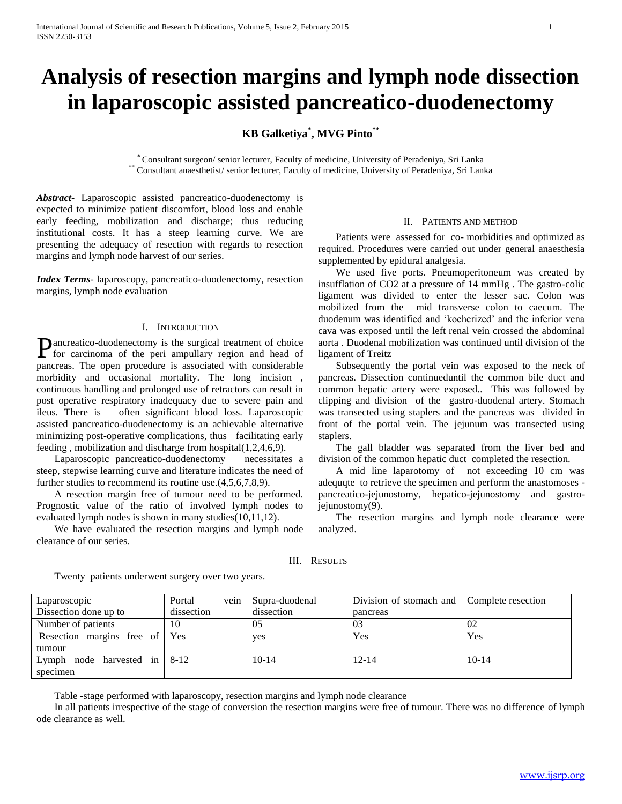# **Analysis of resection margins and lymph node dissection in laparoscopic assisted pancreatico-duodenectomy**

# **KB Galketiya\* , MVG Pinto\*\***

\* Consultant surgeon/ senior lecturer, Faculty of medicine, University of Peradeniya, Sri Lanka \*\* Consultant anaesthetist/ senior lecturer, Faculty of medicine, University of Peradeniya, Sri Lanka

*Abstract***-** Laparoscopic assisted pancreatico-duodenectomy is expected to minimize patient discomfort, blood loss and enable early feeding, mobilization and discharge; thus reducing institutional costs. It has a steep learning curve. We are presenting the adequacy of resection with regards to resection margins and lymph node harvest of our series.

*Index Terms*- laparoscopy, pancreatico-duodenectomy, resection margins, lymph node evaluation

## I. INTRODUCTION

**Pancreatico-duodenectomy is the surgical treatment of choice** for carrinoma of the peri ampullary region and head of for carcinoma of the peri ampullary region and head of pancreas. The open procedure is associated with considerable morbidity and occasional mortality. The long incision , continuous handling and prolonged use of retractors can result in post operative respiratory inadequacy due to severe pain and ileus. There is often significant blood loss. Laparoscopic assisted pancreatico-duodenectomy is an achievable alternative minimizing post-operative complications, thus facilitating early feeding , mobilization and discharge from hospital(1,2,4,6,9).

 Laparoscopic pancreatico-duodenectomy necessitates a steep, stepwise learning curve and literature indicates the need of further studies to recommend its routine use.(4,5,6,7,8,9).

 A resection margin free of tumour need to be performed. Prognostic value of the ratio of involved lymph nodes to evaluated lymph nodes is shown in many studies(10,11,12).

 We have evaluated the resection margins and lymph node clearance of our series.

## II. PATIENTS AND METHOD

 Patients were assessed for co- morbidities and optimized as required. Procedures were carried out under general anaesthesia supplemented by epidural analgesia.

 We used five ports. Pneumoperitoneum was created by insufflation of CO2 at a pressure of 14 mmHg . The gastro-colic ligament was divided to enter the lesser sac. Colon was mobilized from the mid transverse colon to caecum. The duodenum was identified and 'kocherized' and the inferior vena cava was exposed until the left renal vein crossed the abdominal aorta . Duodenal mobilization was continued until division of the ligament of Treitz

 Subsequently the portal vein was exposed to the neck of pancreas. Dissection continueduntil the common bile duct and common hepatic artery were exposed.. This was followed by clipping and division of the gastro-duodenal artery. Stomach was transected using staplers and the pancreas was divided in front of the portal vein. The jejunum was transected using staplers.

 The gall bladder was separated from the liver bed and division of the common hepatic duct completed the resection.

 A mid line laparotomy of not exceeding 10 cm was adequqte to retrieve the specimen and perform the anastomoses pancreatico-jejunostomy, hepatico-jejunostomy and gastrojejunostomy(9).

 The resection margins and lymph node clearance were analyzed.

#### III. RESULTS

| Laparoscopic                            | vein<br>Portal | Supra-duodenal | Division of stomach and   Complete resection |            |
|-----------------------------------------|----------------|----------------|----------------------------------------------|------------|
| Dissection done up to                   | dissection     | dissection     | pancreas                                     |            |
| Number of patients                      | 10             | 05             | 03                                           | 02         |
| Resection margins free of Yes           |                | yes            | Yes                                          | <b>Yes</b> |
| tumour                                  |                |                |                                              |            |
| node harvested in $\vert$ 8-12<br>Lymph |                | $10-14$        | $12 - 14$                                    | $10 - 14$  |
| specimen                                |                |                |                                              |            |

Twenty patients underwent surgery over two years.

Table -stage performed with laparoscopy, resection margins and lymph node clearance

 In all patients irrespective of the stage of conversion the resection margins were free of tumour. There was no difference of lymph ode clearance as well.